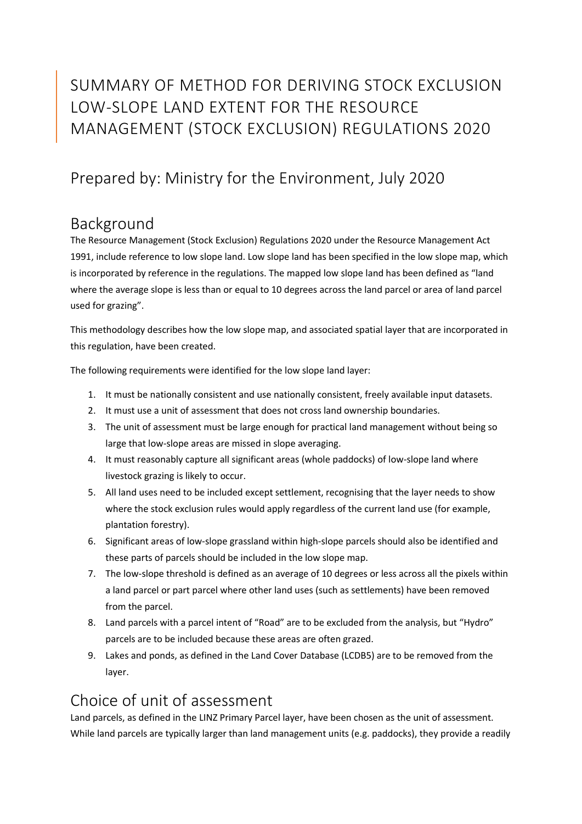# SUMMARY OF METHOD FOR DERIVING STOCK EXCLUSION LOW-SLOPE LAND EXTENT FOR THE RESOURCE MANAGEMENT (STOCK EXCLUSION) REGULATIONS 2020

## Prepared by: Ministry for the Environment, July 2020

#### Background

The Resource Management (Stock Exclusion) Regulations 2020 under the Resource Management Act 1991, include reference to low slope land. Low slope land has been specified in the low slope map, which is incorporated by reference in the regulations. The mapped low slope land has been defined as "land where the average slope is less than or equal to 10 degrees across the land parcel or area of land parcel used for grazing".

This methodology describes how the low slope map, and associated spatial layer that are incorporated in this regulation, have been created.

The following requirements were identified for the low slope land layer:

- 1. It must be nationally consistent and use nationally consistent, freely available input datasets.
- 2. It must use a unit of assessment that does not cross land ownership boundaries.
- 3. The unit of assessment must be large enough for practical land management without being so large that low-slope areas are missed in slope averaging.
- 4. It must reasonably capture all significant areas (whole paddocks) of low-slope land where livestock grazing is likely to occur.
- 5. All land uses need to be included except settlement, recognising that the layer needs to show where the stock exclusion rules would apply regardless of the current land use (for example, plantation forestry).
- 6. Significant areas of low-slope grassland within high-slope parcels should also be identified and these parts of parcels should be included in the low slope map.
- 7. The low-slope threshold is defined as an average of 10 degrees or less across all the pixels within a land parcel or part parcel where other land uses (such as settlements) have been removed from the parcel.
- 8. Land parcels with a parcel intent of "Road" are to be excluded from the analysis, but "Hydro" parcels are to be included because these areas are often grazed.
- 9. Lakes and ponds, as defined in the Land Cover Database (LCDB5) are to be removed from the layer.

## Choice of unit of assessment

Land parcels, as defined in the LINZ Primary Parcel layer, have been chosen as the unit of assessment. While land parcels are typically larger than land management units (e.g. paddocks), they provide a readily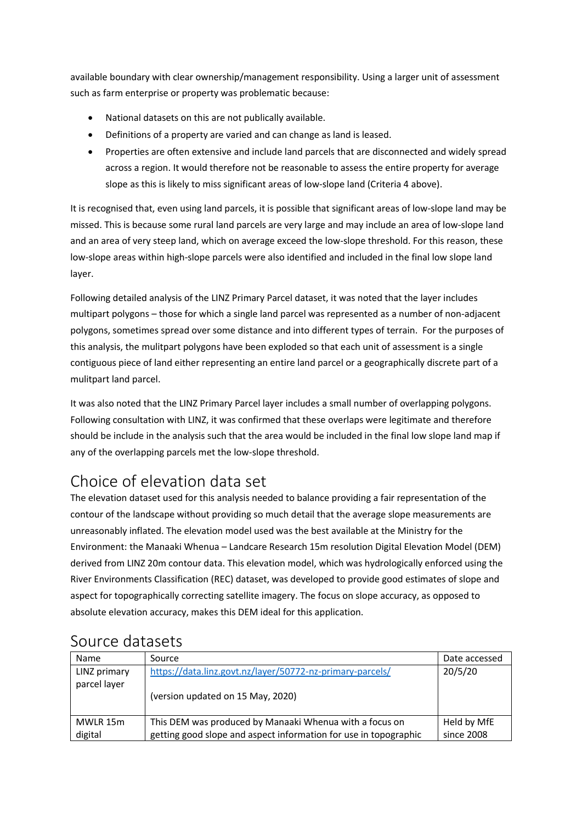available boundary with clear ownership/management responsibility. Using a larger unit of assessment such as farm enterprise or property was problematic because:

- National datasets on this are not publically available.
- Definitions of a property are varied and can change as land is leased.
- Properties are often extensive and include land parcels that are disconnected and widely spread across a region. It would therefore not be reasonable to assess the entire property for average slope as this is likely to miss significant areas of low-slope land (Criteria 4 above).

It is recognised that, even using land parcels, it is possible that significant areas of low-slope land may be missed. This is because some rural land parcels are very large and may include an area of low-slope land and an area of very steep land, which on average exceed the low-slope threshold. For this reason, these low-slope areas within high-slope parcels were also identified and included in the final low slope land layer.

Following detailed analysis of the LINZ Primary Parcel dataset, it was noted that the layer includes multipart polygons – those for which a single land parcel was represented as a number of non-adjacent polygons, sometimes spread over some distance and into different types of terrain. For the purposes of this analysis, the mulitpart polygons have been exploded so that each unit of assessment is a single contiguous piece of land either representing an entire land parcel or a geographically discrete part of a mulitpart land parcel.

It was also noted that the LINZ Primary Parcel layer includes a small number of overlapping polygons. Following consultation with LINZ, it was confirmed that these overlaps were legitimate and therefore should be include in the analysis such that the area would be included in the final low slope land map if any of the overlapping parcels met the low-slope threshold.

## Choice of elevation data set

The elevation dataset used for this analysis needed to balance providing a fair representation of the contour of the landscape without providing so much detail that the average slope measurements are unreasonably inflated. The elevation model used was the best available at the Ministry for the Environment: the Manaaki Whenua – Landcare Research 15m resolution Digital Elevation Model (DEM) derived from LINZ 20m contour data. This elevation model, which was hydrologically enforced using the River Environments Classification (REC) dataset, was developed to provide good estimates of slope and aspect for topographically correcting satellite imagery. The focus on slope accuracy, as opposed to absolute elevation accuracy, makes this DEM ideal for this application.

| Name         | Source                                                           | Date accessed |
|--------------|------------------------------------------------------------------|---------------|
| LINZ primary | https://data.linz.govt.nz/layer/50772-nz-primary-parcels/        | 20/5/20       |
| parcel layer |                                                                  |               |
|              | (version updated on 15 May, 2020)                                |               |
|              |                                                                  |               |
| MWLR 15m     | This DEM was produced by Manaaki Whenua with a focus on          | Held by MfE   |
| digital      | getting good slope and aspect information for use in topographic | since 2008    |

#### Source datasets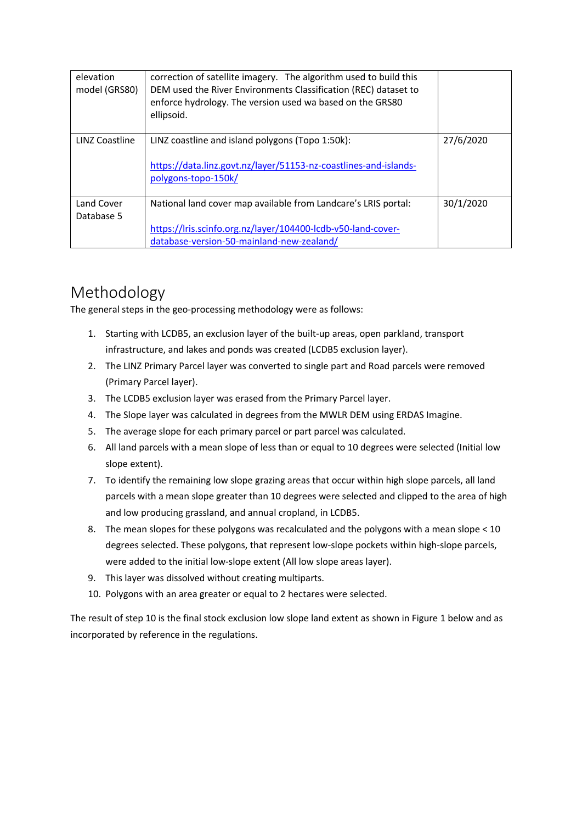| elevation<br>model (GRS80) | correction of satellite imagery. The algorithm used to build this<br>DEM used the River Environments Classification (REC) dataset to<br>enforce hydrology. The version used wa based on the GRS80<br>ellipsoid. |           |
|----------------------------|-----------------------------------------------------------------------------------------------------------------------------------------------------------------------------------------------------------------|-----------|
| LINZ Coastline             | LINZ coastline and island polygons (Topo 1:50k):<br>https://data.linz.govt.nz/layer/51153-nz-coastlines-and-islands-<br>polygons-topo-150k/                                                                     | 27/6/2020 |
| Land Cover<br>Database 5   | National land cover map available from Landcare's LRIS portal:<br>https://lris.scinfo.org.nz/layer/104400-lcdb-v50-land-cover-<br>database-version-50-mainland-new-zealand/                                     | 30/1/2020 |

# Methodology

The general steps in the geo-processing methodology were as follows:

- 1. Starting with LCDB5, an exclusion layer of the built-up areas, open parkland, transport infrastructure, and lakes and ponds was created (LCDB5 exclusion layer).
- 2. The LINZ Primary Parcel layer was converted to single part and Road parcels were removed (Primary Parcel layer).
- 3. The LCDB5 exclusion layer was erased from the Primary Parcel layer.
- 4. The Slope layer was calculated in degrees from the MWLR DEM using ERDAS Imagine.
- 5. The average slope for each primary parcel or part parcel was calculated.
- 6. All land parcels with a mean slope of less than or equal to 10 degrees were selected (Initial low slope extent).
- 7. To identify the remaining low slope grazing areas that occur within high slope parcels, all land parcels with a mean slope greater than 10 degrees were selected and clipped to the area of high and low producing grassland, and annual cropland, in LCDB5.
- 8. The mean slopes for these polygons was recalculated and the polygons with a mean slope < 10 degrees selected. These polygons, that represent low-slope pockets within high-slope parcels, were added to the initial low-slope extent (All low slope areas layer).
- 9. This layer was dissolved without creating multiparts.
- 10. Polygons with an area greater or equal to 2 hectares were selected.

The result of step 10 is the final stock exclusion low slope land extent as shown in Figure 1 below and as incorporated by reference in the regulations.